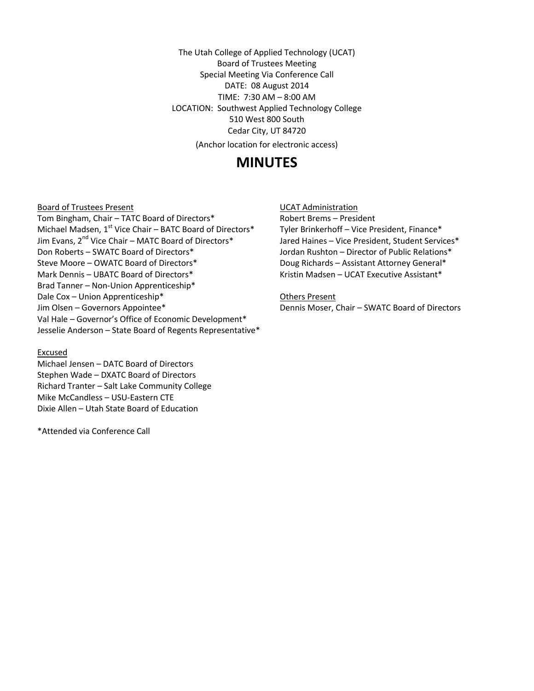The Utah College of Applied Technology (UCAT) Board of Trustees Meeting Special Meeting Via Conference Call DATE: 08 August 2014 TIME: 7:30 AM – 8:00 AM LOCATION: Southwest Applied Technology College 510 West 800 South Cedar City, UT 84720 (Anchor location for electronic access)

# **MINUTES**

Board of Trustees Present

Tom Bingham, Chair – TATC Board of Directors\* Michael Madsen, 1<sup>st</sup> Vice Chair – BATC Board of Directors\* Jim Evans, 2<sup>nd</sup> Vice Chair – MATC Board of Directors\* Don Roberts – SWATC Board of Directors\* Steve Moore – OWATC Board of Directors\* Mark Dennis – UBATC Board of Directors\* Brad Tanner – Non-Union Apprenticeship\* Dale Cox – Union Apprenticeship\* Jim Olsen – Governors Appointee\* Val Hale – Governor's Office of Economic Development\* Jesselie Anderson – State Board of Regents Representative\*

### Excused

Michael Jensen – DATC Board of Directors Stephen Wade – DXATC Board of Directors Richard Tranter – Salt Lake Community College Mike McCandless – USU-Eastern CTE Dixie Allen – Utah State Board of Education

\*Attended via Conference Call

UCAT Administration

Robert Brems – President Tyler Brinkerhoff – Vice President, Finance\* Jared Haines – Vice President, Student Services\* Jordan Rushton – Director of Public Relations\* Doug Richards – Assistant Attorney General\* Kristin Madsen – UCAT Executive Assistant\*

Others Present

Dennis Moser, Chair – SWATC Board of Directors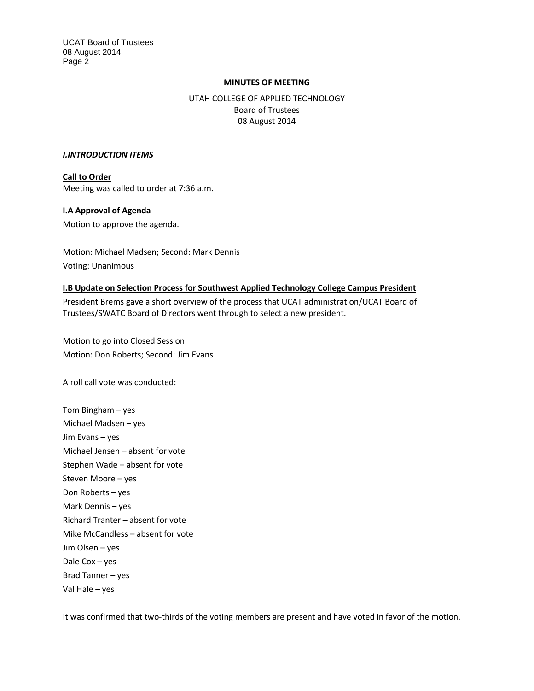UCAT Board of Trustees 08 August 2014 Page 2

## **MINUTES OF MEETING**

UTAH COLLEGE OF APPLIED TECHNOLOGY Board of Trustees 08 August 2014

#### *I.INTRODUCTION ITEMS*

**Call to Order** Meeting was called to order at 7:36 a.m.

### **I.A Approval of Agenda**

Motion to approve the agenda.

Motion: Michael Madsen; Second: Mark Dennis Voting: Unanimous

### **I.B Update on Selection Process for Southwest Applied Technology College Campus President**

President Brems gave a short overview of the process that UCAT administration/UCAT Board of Trustees/SWATC Board of Directors went through to select a new president.

Motion to go into Closed Session Motion: Don Roberts; Second: Jim Evans

A roll call vote was conducted:

Tom Bingham – yes Michael Madsen – yes Jim Evans – yes Michael Jensen – absent for vote Stephen Wade – absent for vote Steven Moore – yes Don Roberts – yes Mark Dennis – yes Richard Tranter – absent for vote Mike McCandless – absent for vote Jim Olsen – yes Dale Cox – yes Brad Tanner – yes Val Hale – yes

It was confirmed that two-thirds of the voting members are present and have voted in favor of the motion.